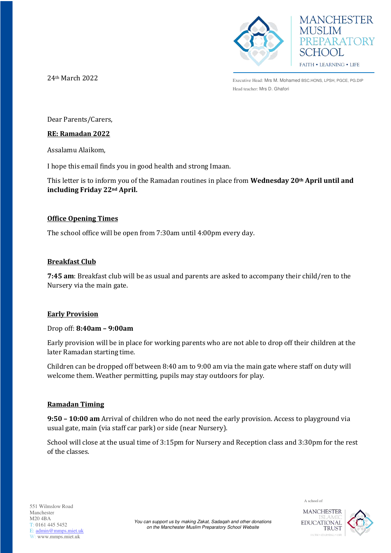



24th March 2022

Executive Head: Mrs M. Mohamed BSC.HONS, LPSH, PGCE, PG.DIP Head teacher: Mrs D. Ghafori

Dear Parents/Carers,

## **RE: Ramadan 2022**

Assalamu Alaikom,

I hope this email finds you in good health and strong Imaan.

This letter is to inform you of the Ramadan routines in place from **Wednesday 20th April until and including Friday 22nd April.** 

# **Office Opening Times**

The school office will be open from 7:30am until 4:00pm every day.

## **Breakfast Club**

**7:45 am**: Breakfast club will be as usual and parents are asked to accompany their child/ren to the Nursery via the main gate.

# **Early Provision**

#### Drop off: **8:40am – 9:00am**

Early provision will be in place for working parents who are not able to drop off their children at the later Ramadan starting time.

Children can be dropped off between 8:40 am to 9:00 am via the main gate where staff on duty will welcome them. Weather permitting, pupils may stay outdoors for play.

# **Ramadan Timing**

**9:50 – 10:00 am** Arrival of children who do not need the early provision. Access to playground via usual gate, main (via staff car park) or side (near Nursery).

School will close at the usual time of 3:15pm for Nursery and Reception class and 3:30pm for the rest of the classes.



A school of